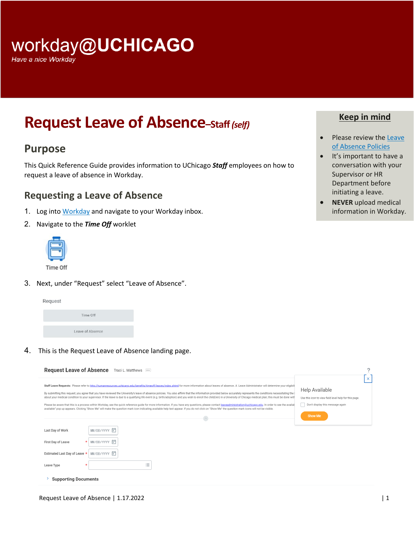# workday@UCHICAGO

Have a nice Workday

# **Request Leave of Absence–Staff***(self)*

## **Purpose**

This Quick Reference Guide provides information to UChicago *Staff* employees on how to request a leave of absence in Workday.

### **Requesting a Leave of Absence**

- 1. Log into Workday and navigate to your Workday inbox.
- 2. Navigate to the *Time Off* worklet



3. Next, under "Request" select "Leave of Absence".



4. This is the Request Leave of Absence landing page.

| Request Leave of Absence Traci L. Matthews <b></b>                                                                                                                                                                                                                                                                                                                                                                                                                                                                                                                                                                                                                                                                                                                                                                                                                                                                                                                                                                                                                                                       |                                                                                                                  |
|----------------------------------------------------------------------------------------------------------------------------------------------------------------------------------------------------------------------------------------------------------------------------------------------------------------------------------------------------------------------------------------------------------------------------------------------------------------------------------------------------------------------------------------------------------------------------------------------------------------------------------------------------------------------------------------------------------------------------------------------------------------------------------------------------------------------------------------------------------------------------------------------------------------------------------------------------------------------------------------------------------------------------------------------------------------------------------------------------------|------------------------------------------------------------------------------------------------------------------|
| Staff Leave Requests: Please refer to http://humanresources.uchicago.edu/benefits/timeoff/leaves/index.shtml for more information about leaves of absence. A Leave Administrator will determine your eligibili<br>By submitting this request, you agree that you have reviewed the University's leave of absence policies. You also affirm that the information provided below accurately represents the conditions necessitating the inter-<br>about your medical condition to your supervisor. If the leave is due to a qualifying life event (e.g. birth/adoption) and you wish to enroll the child(ren) in a University of Chicago medical plan; this must be done with<br>Please be aware that this is a process within Workday, see the quick reference quide for more information. If you have any questions, please contact leaveadministration@uchicaqo.edu. In order to see the availat<br>available" pop up appears. Clicking "Show Me" will make the question mark icon indicating available help text appear. If you do not click on "Show Me" the question mark icons will not be visible. | ×<br>Help Available<br>Use this icon to view field level help for this page.<br>Don't display this message again |
| $\widehat{\phantom{a}}$                                                                                                                                                                                                                                                                                                                                                                                                                                                                                                                                                                                                                                                                                                                                                                                                                                                                                                                                                                                                                                                                                  | <b>Show Me</b>                                                                                                   |
| MM/DD/YYYY 同<br>Last Day of Work                                                                                                                                                                                                                                                                                                                                                                                                                                                                                                                                                                                                                                                                                                                                                                                                                                                                                                                                                                                                                                                                         |                                                                                                                  |
| MM/DD/YYYY H<br>First Day of Leave                                                                                                                                                                                                                                                                                                                                                                                                                                                                                                                                                                                                                                                                                                                                                                                                                                                                                                                                                                                                                                                                       |                                                                                                                  |
| MM/DD/YYYY 同<br>Estimated Last Day of Leave *                                                                                                                                                                                                                                                                                                                                                                                                                                                                                                                                                                                                                                                                                                                                                                                                                                                                                                                                                                                                                                                            |                                                                                                                  |
| $\cdots$<br>Leave Type<br>÷<br>$\equiv$                                                                                                                                                                                                                                                                                                                                                                                                                                                                                                                                                                                                                                                                                                                                                                                                                                                                                                                                                                                                                                                                  |                                                                                                                  |
| <b>Supporting Documents</b>                                                                                                                                                                                                                                                                                                                                                                                                                                                                                                                                                                                                                                                                                                                                                                                                                                                                                                                                                                                                                                                                              |                                                                                                                  |

#### **Keep in mind**

- Please review the Leave [of Absence Policies](https://intranet.uchicago.edu/benefits-and-career/benefits/leaves-and-time-off/leaves-of-absence/leaves-of-absence-forms-and-policies)
- It's important to have a conversation with your Supervisor or HR Department before initiating a leave.
- **NEVER** upload medical information in Workday.